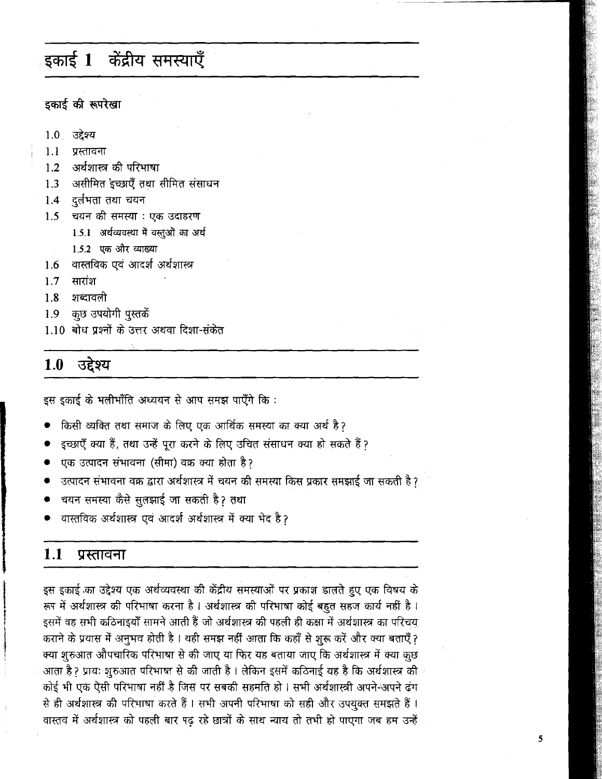# इकाई 1 केंद्रीय समस्याएँ

# डकाई की रूपरेखा

- 1.0 उद्देश्य
- $1.1$ प्रस्तावना
- अर्थशास्त्र की परिभाषा  $1.2$
- असीमित इच्छाएँ तथा सीमित संसाधन  $1.3$
- दर्लभता तथा चयन  $1.4$
- $1.5$ चयन की समस्या : एक उदाहरण
	- 1.5.1 अर्थव्यवस्था में वस्तुओं का अर्थ
	- 1.5.2 एक और व्याख्या
- वास्तविक एवं आदर्श अर्थशास्त्र  $1.6$
- $1.7$ सारांश
- शब्दावली  $1.8$
- कुछ उपयोगी पुस्तकें 1.9
- 1.10 बोध प्रश्नों के उत्तर अथवा दिशा-संकेत

#### $1.0$ उद्देश्य

इस इकाई के भलीभाँति अध्ययन से आप समझ पाएँगे कि:

- किसी व्यक्ति तथा समाज के लिए एक आर्थिक समस्या का क्या अर्थ है?
- इच्छाएँ क्या हैं, तथा उन्हें पुरा करने के लिए उचित संसाधन क्या हो सकते हैं?
- .<br>एक उत्पादन संभावना (सीमा) वक्र क्या होता है ?
- उत्पादन संभावना वक्र द्वारा अर्थशास्त्र में चयन की समस्या किस प्रकार समझाई जा सकती है?
- चयन समस्या कैसे सुलझाई जा सकती है? तथा
- वास्तविक अर्थशास्त्र एवं आदर्श अर्थशास्त्र में क्या भेद है?

#### $1.1$ प्रस्तावना

इस इकाई का उद्देश्य एक अर्थव्यवस्था की केंद्रीय समस्याओं पर प्रकाश डालते हुए एक विषय के रूप में अर्थशास्त्र की परिभाषा करना है। अर्थशास्त्र की परिभाषा कोई बहुत सहज कार्य नहीं है। इसमें वह सभी कठिनाइयाँ सामने आती हैं जो अर्थशास्त्र की पहली ही कक्षा में अर्थशास्त्र का परिचय कराने के प्रयास में अनुभव होती है। यही समझ नहीं आता कि कहाँ से शुरू करें और क्या बताएँ? क्या शुरुआत औपचारिक परिभाषा से की जाए या फिर यह बताया जाए कि अर्थशास्त्र में क्या कुछ आता है ? प्रायः शुरुआत परिभाषा से की जाती है । लेकिन इसमें कठिनाई यह है कि अर्थशास्त्र की कोई भी एक ऐसी परिभाषा नहीं है जिस पर सबकी सहमति हो। सभी अर्थशास्त्री अपने-अपने ढंग से ही अर्थशास्त्र की परिभाषा करते हैं। सभी अपनी परिभाषा को सही और उपयुक्त समझते हैं। वास्तव में अर्थशास्त्र को पहली बार पढ़ रहे छात्रों के साथ न्याय तो तभी हो पाएगा जब हम उन्हें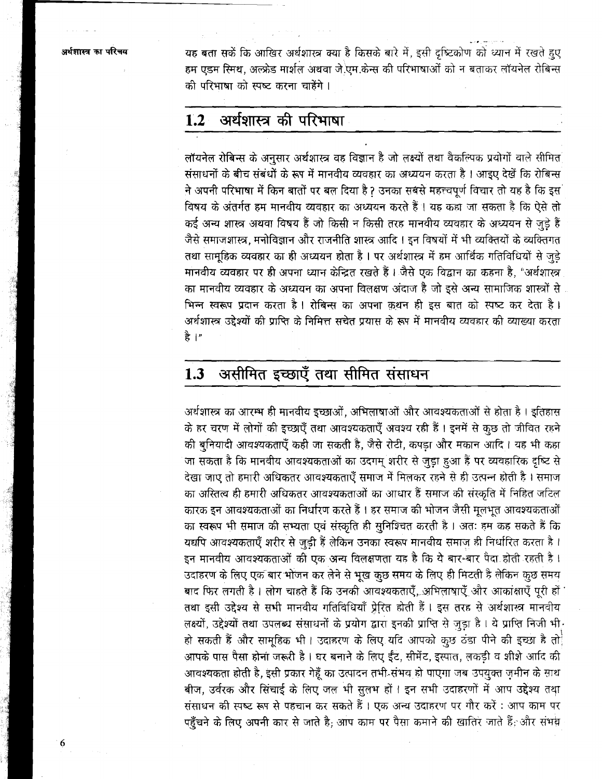यह बता सकें कि आखिर अर्थशास्त्र क्या है किसके बारे में, इसी दृष्टिकोण को ध्यान में रखते हुए हम एडम स्मिथ, अल्फ्रेड मार्शल अथवा जे.एम.केन्स की परिभाषाओं को न बताकर लॉयनेल रोबिन्स की परिभाषा को स्पष्ट करना चाहेंगे।

#### अर्थशास्त्र की परिभाषा  $1.2$

लॉयनेल रोबिन्स के अनुसार अर्थशास्त्र वह विज्ञान है जो लक्ष्यों तथा वैकल्पिक प्रयोगों वाले सीमित संसाधनों के बीच संबंधों के रूप में मानवीय व्यवहार का अध्ययन करता है । आइए देखें कि रोबिन्स ने अपनी परिभाषा में किन बातों पर बल दिया है ? उनका सबसे महत्त्वपूर्ण विचार तो यह है कि इस विषय के अंतर्गत हम मानवीय व्यवहार का अध्ययन करते हैं। यह कहा जा सकता है कि ऐसे तो कई अन्य शास्त्र अथवा विषय हैं जो किसी न किसी तरह मानवीय व्यवहार के अध्ययन से जुड़े हैं जैसे समाजशास्त्र, मनोविज्ञान और राजनीति शास्त्र आदि । इन विषयों में भी व्यक्तियों के व्यक्तिगत तथा सामूहिक व्यवहार का ही अध्ययन होता है। पर अर्थशास्त्र में हम आर्थिक गतिविधियों से जुडे मानवीय व्यवहार पर ही अपना ध्यान केन्द्रित रखते हैं। जैसे एक विद्वान का कहना है, "अर्थशास्त्र का मानवीय व्यवहार के अध्ययन का अपना विलक्षण अंदाज है जो इसे अन्य सामाजिक शास्त्रों से भिन्न स्वरूप प्रदान करता है। रोबिन्स का अपना कथन ही इस बात को स्पष्ट कर देता है। अर्थशास्त्र उद्देश्यों की प्राप्ति के निमित्त सचेत प्रयास के रूप में मानवीय व्यवहार की व्याख्या करता हे ।"

### असीमित इच्छाएँ तथा सीमित संसाधन  $1.3$

अर्थशास्त्र का आरम्भ ही मानवीय इच्छाओं, अभिलाषाओं और आवश्यकताओं से होता है। इतिहास के हर चरण में लोगों की इच्छाएँ तथा आवश्यकताएँ अवश्य रही हैं । इनमें से कुछ तो जीवित रहने की बुनियादी आवश्यकताएँ कही जा सकती है, जैसे रोटी, कपड़ा और मकान आदि। यह भी कहा जा सकता है कि मानवीय आवश्यकताओं का उदगम् शरीर से जुड़ा हुआ हैं पर व्यवहारिक दृष्टि से देखा जाए तो हमारी अधिकतर आवश्यकताएँ समाज में मिलकर रहने से ही उत्पन्न होती है । समाज का अस्तित्व ही हमारी अधिकतर आवश्यकताओं का आधार हैं समाज की संस्कृति में निहित जटिल कारक इन आवश्यकताओं का निर्धारण करते हैं । हर समाज की भोजन जैसी मूलभूत आवश्यकताओं का स्वरूप भी समाज की सभ्यता एवं संस्कृति ही सुनिश्चित करती है। अतः हम कह सकते हैं कि यद्यपि आवश्यकताएँ शरीर से जुड़ी हैं लेकिन उनका स्वरूप मानवीय समाज ही निर्धारित करता है। इन मानवीय आवश्यकताओं की एक अन्य विलक्षणता यह है कि ये बार-बार पैदा होती रहती है। उदाहरण के लिए एक बार भोजन कर लेने से भूख कुछ समय के लिए ही मिटती है लेकिन कुछ समय बाद फिर लगती है। लोग चाहते हैं कि उनकी आवश्यकताएँ, अभिलाषाएँ और आकांक्षाएँ पूरी हों ' तथा इसी उद्देश्य से सभी मानवीय गतिविधियाँ प्रेरित होती हैं। इस तरह से अर्थशास्त्र मानवीय लक्ष्यों, उद्देश्यों तथा उपलब्ध संसाधनों के प्रयोग द्वारा इनकी प्राप्ति से जुड़ा है। ये प्राप्ति निजी भी हो सकती हैं और सामूहिक भी। उदाहरण के लिए यदि आपको कुछ ठंडा पीने की इच्छा है तो आपके पास पैसा होना जरूरी है। घर बनाने के लिए ईंट, सीमेंट, इस्पात, लकड़ी व शीशे आदि की आवश्यकता होती है, इसी प्रकार गेहूँ का उत्पादन तभी संभव हो पाएगा जब उपयुक्त ज़मीन के साथ बीज, उर्वरक और सिंचाई के लिए जल भी सुलभ हों। इन सभी उदाहरणों में आप उद्देश्य तथा संसाधन की स्पष्ट रूप से पहचान कर सकते हैं। एक अन्य उदाहरण पर गौर करें : आप काम पर पहुँचने के लिए अपनी कार से जाते है; आप काम पर पैसा कमाने की खातिर जाते हैं; और संभव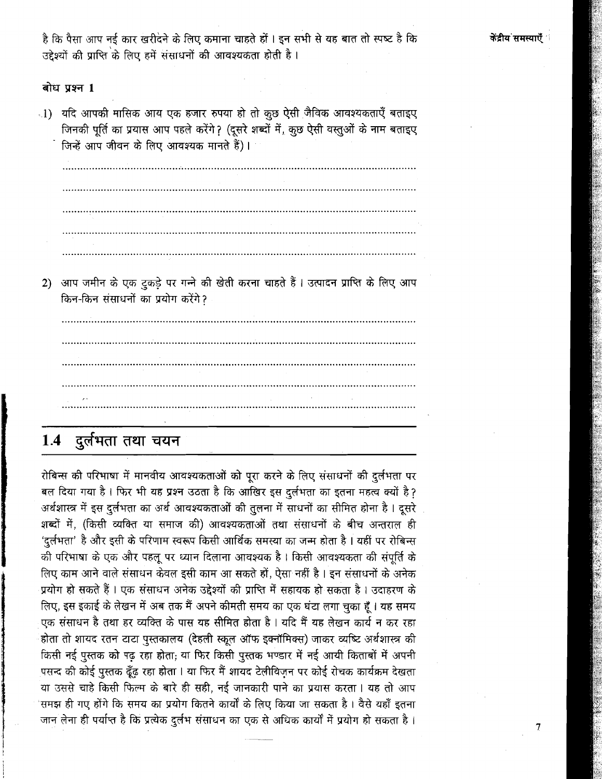केंद्रीय समस्याएँ

है कि पैसा आप नई कार खरीदने के लिए कमाना चाहते हों । इन सभी से यह बात तो स्पष्ट है कि उद्देश्यों की प्राप्ति के लिए हमें संसाधनों की आवश्यकता होती है।

## बोध प्रश्न 1

ा) यदि आपकी मासिक आय एक हजार रुपया हो तो कुछ ऐसी जैविक आवश्यकताएँ बताइए जिनकी पूर्ति का प्रयास आप पहले करेंगे ? (दूसरे शब्दों में, कुछ ऐसी वस्तुओं के नाम बताइए जिन्हें आप जीवन के लिए आवश्यक मानते हैं)।

<u> 1980 - Jan James John Schwarzer (d. 1980)</u>

2) आप जमीन के एक टुकड़े पर गन्ने की खेती करना चाहते हैं। उत्पादन प्राप्ति के लिए आप किन-किन संसाधनों का प्रयोग करेंगे?

# 1.4 दुर्लभता तथा चयन

रोबिन्स की परिभाषा में मानवीय आवश्यकताओं को पूरा करने के लिए संसाधनों की दुर्लभता पर बल दिया गया है। फिर भी यह प्रश्न उठता है कि आखिर इस दुर्लभता का इतना महत्व क्यों है? अर्थशास्त्र में इस दुर्लभता का अर्थ आवश्यकताओं की तुलना में साधनों का सीमित होना है। दूसरे शब्दों में, (किसी व्यक्ति या समाज की) आवश्यकताओं तथा संसाधनों के बीच अन्तराल ही 'दुर्लभता' है और इसी के परिणाम स्वरूप किसी आर्थिक समस्या का जन्म होता है । यहीं पर रोबिन्स की परिभाषा के एक और पहलू पर ध्यान दिलाना आवश्यक है। किसी आवश्यकता की संपूर्ति के लिए काम आने वाले संसाधन केवल इसी काम आ सकते हों, ऐसा नहीं है। इन संसाधनों के अनेक प्रयोग हो सकते हैं। एक संसाधन अनेक उद्देश्यों की प्राप्ति में सहायक हो सकता है। उदाहरण के लिए, इस इकाई के लेखन में अब तक मैं अपने कीमती समय का एक घंटा लगा चुका हूँ । यह समय एक संसाधन है तथा हर व्यक्ति के पास यह सीमित होता है। यदि मैं यह लेखन कार्य न कर रहा होता तो शायद रतन टाटा पुस्तकालय (देहली स्कूल ऑफ इक्नॉमिक्स) जाकर व्यष्टि अर्थशास्त्र की किसी नई पुस्तक को पढ़ रहा होता, या फिर किसी पुस्तक भण्डार में नई आयी किताबों में अपनी पसन्द की कोई पुस्तक ढूँढ़ रहा होता । या फिर मैं शायद टेलीविज़न पर कोई रोचक कार्यक्रम देखता या उससे चाहे किसी फिल्म के बारे ही सही, नई जानकारी पाने का प्रयास करता। यह तो आप समझ ही गए होंगे कि समय का प्रयोग कितने कार्यों के लिए किया जा सकता है । वैसे यहाँ इतना जान लेना ही पर्याप्त है कि प्रत्येक दुर्लभ संसाधन का एक से अधिक कार्यों में प्रयोग हो सकता है।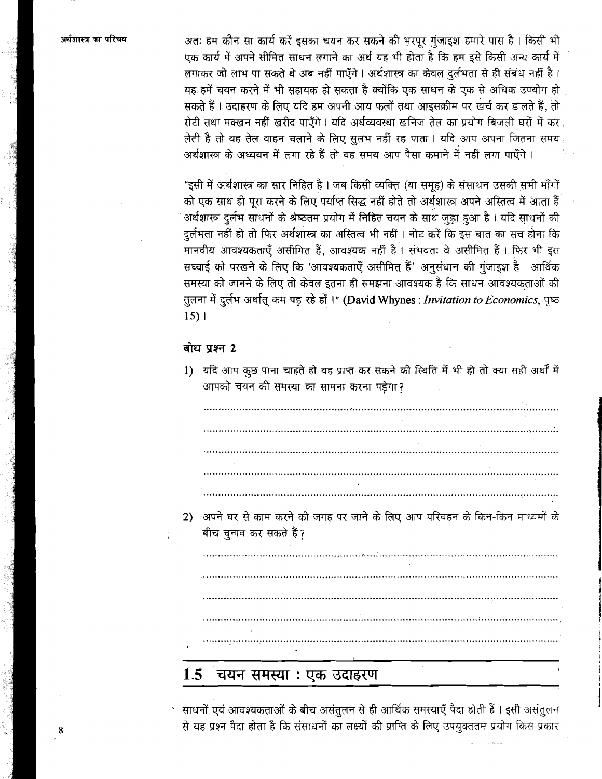अतः हम कौन सा कार्य करें इसका चयन कर सकने की भरपूर गुंजाइश हमारे पास है। किसी भी एक कार्य में अपने सीमित साधन लगाने का अर्थ यह भी होता है कि हम इसे किसी अन्य कार्य में लगाकर जो लाभ पा सकते थे अब नहीं पाएँगे। अर्थशास्त्र का केवल दुर्लभता से ही संबंध नहीं है। यह हमें चयन करने में भी सहायक हो सकता है क्योंकि एक साधन के एक से अधिक उपयोग हो सकते हैं । उदाहरण के लिए यदि हम अपनी आय फलों तथा आइसक्रीम पर खर्च कर डालते हैं, तो रोटी तथा मक्खन नहीं खरीद पाएँगे। यदि अर्थव्यवस्था खनिज तेल का प्रयोग बिजली घरों में कर लेती है तो वह तेल वाहन चलाने के लिए सुलभ नहीं रह पाता । यदि आप अपना जितना समय अर्थशास्त्र के अध्ययन में लगा रहे हैं तो वह समय आप पैसा कमाने में नहीं लगा पाएँगे।

"इसी में अर्थशास्त्र का सार निहित है। जब किसी व्यक्ति (या समूह) के संसाधन उसकी सभी माँगों को एक साथ ही पूरा करने के लिए पर्याप्त सिद्ध नहीं होते तो अर्थशास्त्र अपने अस्तित्व में आता हैं अर्थशास्त्र दुर्लभ साधनों के श्रेष्ठतम प्रयोग में निहित चयन के साथ जुड़ा हुआ है। यदि साधनों की दुर्लभता नहीं हो तो फिर अर्थशास्त्र का अस्तित्व भी नहीं । नोट करें कि इस बात का सच होना कि मानवीय आवश्यकताएँ असीमित हैं, आवश्यक नहीं है। संभवतः वे असीमित हैं। फिर भी इस सच्चाई को परखने के लिए कि 'आवश्यकताएँ असीमित हैं' अनुसंधान की गुंजाइश है। आर्थिक समस्या को जानने के लिए तो केवल इतना ही समझना आवश्यक है कि साधन आवश्यकताओं की तुलना में दुर्लभ अर्थात् कम पड़ रहे हों ।" (David Whynes: Invitation to Economics, पृष्ठ  $15$ ) |

## बोध प्रश्न 2

1) यदि आप कुछ पाना चाहते हो वह प्राप्त कर सकने की स्थिति में भी हो तो क्या सही अर्थों में आपको चयन की समस्या का सामना करना पड़ेगा?

अपने घर से काम करने की जगह पर जाने के लिए आप परिवहन के किन-किन माध्यमों के  $\mathbf{2}$ बीच चुनाव कर सकते हैं?

#### 1.5 चयन समस्या : एक उदाहरण

साधनों एवं आवश्यकताओं के बीच असंतुलन से ही आर्थिक समस्याएँ पैदा होती हैं । इसी असंतुलन से यह प्रश्न पैदा होता है कि संसाधनों का लक्ष्यों की प्राप्ति के लिए उपयुक्ततम प्रयोग किस प्रकार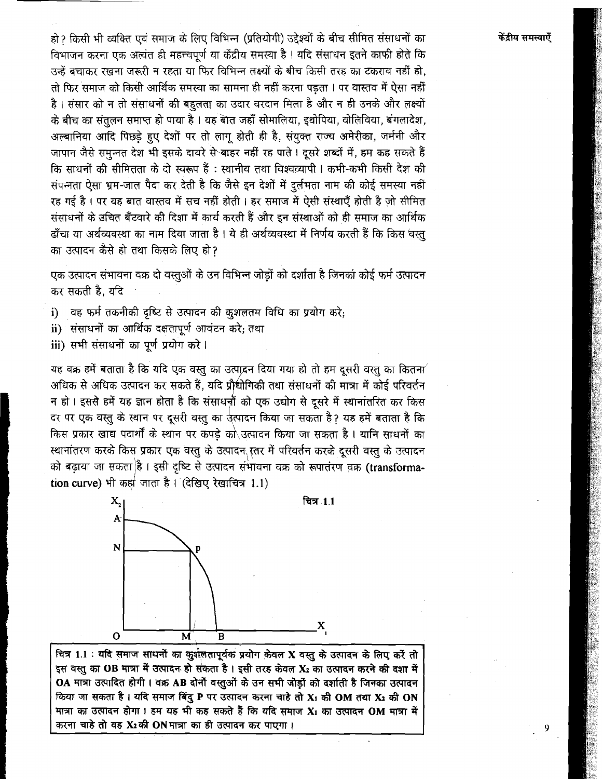हो ॽ किसी भी व्यक्ति एवं समाज के लिए विभिन्न (प्रतियोगी) उद्देश्यों के बीच सीमित संसाधनों का विभाजन करना एक अत्यंत ही महत्त्वपर्ण या केंद्रीय समस्या है। यदि संसाधन इतने काफी होतें कि उन्हें बचाकर रखना जरूरी न रहता या फिर विभिन्न लक्ष्यों के बीच किसी तरह का टकराव नहीं हो, तो फिर समाज को किसी आर्थिक समस्या का सामना ही नहीं करना पड़ता । पर वास्तव में ऐसा नहीं है। संसार को न तो संसाधनों की बहलता का उदार वरदान मिला है और न ही उनके और लक्ष्यों के बीच का संतुलन समाप्त हो पाया है । यह बात जहाँ सोमालिया, इथोपिया, वोलिविया, बंगलादेश, अल्बानिया आदि पिछडे हुए देशों पर तो लागू होती ही है, संयुक्त राज्य अमेरीका, जर्मनी और जापान जैसे समन्नत देश भी इसके दायरे से बाहर नहीं रह पाते । दूसरे शब्दों में, हम कह सकते हैं कि साधनों की सीमितता के दो स्वरूप हैं: स्थानीय तथा विश्वव्यापी। कभी-कभी किसी देश की संपन्नता ऐसा भ्रम-जाल पैदा कर देती है कि जैसे इन देशों में दुर्लभता नाम की कोई समस्या नहीं रह गई है। पर यह बात वास्तव में सच नहीं होती। हर समाज में ऐसी संस्थाएँ होती है जो सीमित संसाधनों के उचित बँटवारे की दिशा में कार्य करती हैं और इन संस्थाओं को ही समाज का आर्थिक ढाँचा या अर्थव्यवस्था का नाम दिया जाता है। ये ही अर्थव्यवस्था में निर्णय करती हैं कि किस 'वस्त का उत्पादन कैसे हो तथा किसके लिए हो?

एक उत्पादन संभावना वक्र दो वस्तुओं के उन विभिन्न जोडों को दर्शाता है जिनका कोई फर्म उत्पादन कर सकती है. यदि

- वह फर्म तकनीकी दृष्टि से उत्पादन की कुशलतम विधि का प्रयोग करे; i)
- ii) संसाधनों का आर्थिक दक्षतापूर्ण आवंटन करे; तथा
- iii) सभी संसाधनों का पूर्ण प्रयोग करे।

यह वक्र हमें बताता है कि यदि एक वस्तु का उत्पादन दिया गया हो तो हम दूसरी वस्तु का कितना अधिक से अधिक उत्पादन कर सकते हैं, यदि प्रौधीगिकी तथा संसाधनों की मात्रा में कोई परिवर्तन न हो । इससे हमें यह ज्ञान होता है कि संसाधन्नी को एक उद्योग से दुसरे में स्थानांतरित कर किस दर पर एक वस्तु के स्थान पर दूसरी वस्तु का उत्पादन किया जा सकता है ॽ यह हमें बताता है कि किस प्रकार खाद्य पदार्थों के स्थान पर कपडे को उत्पादन किया जा सकता है। यानि साधनों का स्थानांतरण करके किस प्रकार एक वस्तु के उत्पादन स्तर में परिवर्तन करके दूसरी वस्तु के उत्पादन को बढ़ाया जा सकता है। इसी दृष्टि से उत्पादन संभावना वक्र को रूपातंरण वक्र (transformation curve) भी कहां जाता है। (देखिए रेखाचित्र 1.1)



चित्र 1.1 : यदि समाज साधनों का कुशलतापूर्वक प्रयोग केवल X वस्तु के उत्पादन के लिए करें तो इस वस्तु का OB मात्रा में उत्पादन हो संकता है। इसी तरह केवल X2 का उत्पादन करने की दशा में OA मात्रा उत्पादित होगी। वक्र AB दोनों वस्तुओं के उन सभी जोड़ों को दर्शाती है जिनका उत्पादन किया जा सकता है। यदि समाज बिंदु P पर उत्पादन करना चाहे तो X1 की OM तथा X2 की ON मात्रा का उत्पादन होगा। हम यह भी कह सकते हैं कि यदि समाज X1 का उत्पादन OM मात्रा में करना चाहे तो वह X2 की ON मात्रा का ही उत्पादन कर पाएगा।

## केंद्रीय समस्याएँ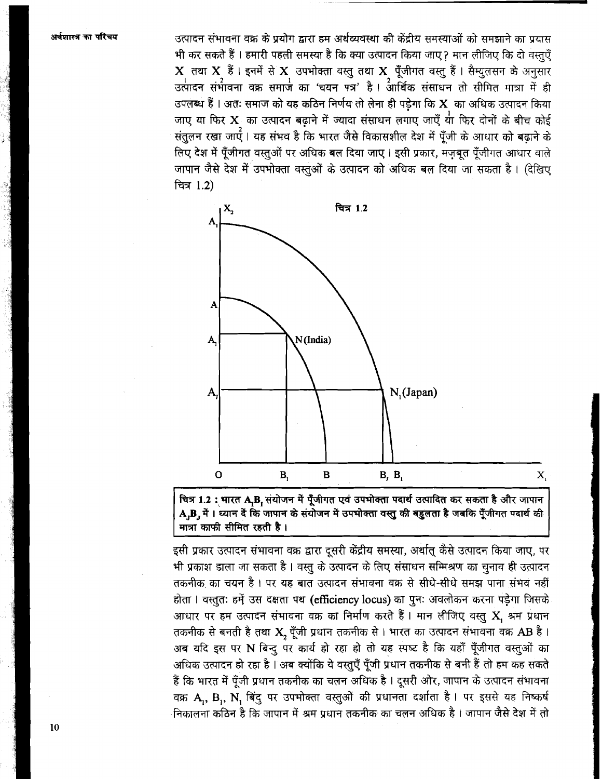उत्पादन संभावना वक्र के प्रयोग द्वारा हम अर्थव्यवस्था की केंद्रीय समस्याओं को समझाने का प्रयास भी कर सकते हैं । हमारी पहली समस्या है कि क्या उत्पादन किया जाए ॽ मान लीजिए कि दो वस्तएँ X तथा X हैं। इनमें से X उपभोक्ता वस्तु तथा X पूँजीगत वस्तु हैं। सैम्युलसन के अनुसार उत्पादन संभावना वक्र समाज का 'चयन पत्र' है। आर्थिक संसाधन तो सीमित मात्रा में ही उपलब्ध हैं । अतः समाज को यह कठिन निर्णय तो लेना ही पड़ेगा कि X का अधिक उत्पादन किया .<br>जाए या फिर X का उत्पादन बढ़ाने में ज्यादा संसाधन लगाए जाएँ या फिर दोनों के बीच कोई संतुलन रखा जाएँ । यह संभव है कि भारत जैसे विकासशील देश में पँजी के आधार को बढाने के लिए देश में पुँजीगत वस्तुओं पर अधिक बल दिया जाए। इसी प्रकार, मजबत पँजीगत आधार वाले जापान जैसे देश में उपभोक्ता वस्तओं के उत्पादन को अधिक बल दिया जा सकता है। (देखिए वित्र 1.2)



चित्र 1.2 : भारत A<sub>r</sub>B<sub>r</sub> संयोजन में पूँजीगत एवं उपभोक्ता पदार्थ उत्पादित कर सकता है और जापान A,B, में। ध्यान दें कि जापान के संयोजन में उपभोक्ता वस्तु की बहुलता है जबकि पूँजीगत पदार्थ की मात्रा काफी सीमित रहती है।

इसी प्रकार उत्पादन संभावना वक्र द्वारा दूसरी केंद्रीय समस्या, अर्थात् कैसे उत्पादन किया जाए, पर भी प्रकाश डाला जा सकता है। वस्तु के उत्पादन के लिए संसाधन सम्मिश्रण का चुनाव ही उत्पादन तकनीक का चयन है। पर यह बात उत्पादन संभावना वक्र से सीधे-सीधे समझ पाना संभव नहीं होता । वस्तुतः हमें उस दक्षता पथ (efficiency locus) का पुनः अवलोकन करना पड़ेगा जिसके आधार पर हम उत्पादन संभावना वक्र का निर्माण करते हैं। मान लीजिए वस्तु X श्रम प्रधान तकनीक से बनती है तथा X, पूँजी प्रधान तकनीक से । भारत का उत्पादन संभावना वक्र AB है । अब यदि इस पर N बिन्दू पर कार्य हो रहा हो तो यह स्पष्ट है कि यहाँ पूँजीगत वस्तुओं का अधिक उत्पादन हो रहा है । अब क्योंकि ये वस्तुएँ पूँजी प्रधान तकनीक से बनी हैं तो हम कह सकते हैं कि भारत में पूँजी प्रधान तकनीक का चलन अधिक है । दूसरी ओर, जापान के उत्पादन संभावना वक्र A, B, N, बिंदु पर उपभोक्ता वस्तुओं की प्रधानता दर्शाता है। पर इससे यह निष्कर्ष निकालना कठिन है कि जापान में श्रम प्रधान तकनीक का चलन अधिक है । जापान जैसे देश में तो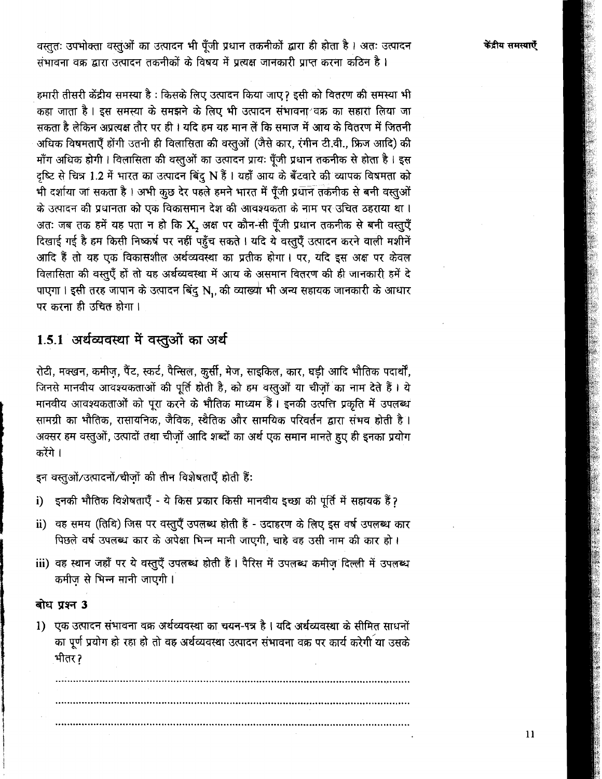केंद्रीय समस्याएँ

वस्तुतः उपभोक्ता वस्तुओं का उत्पादन भी पूँजी प्रधान तकनीकों द्वारा ही होता है। अतः उत्पादन संभावना वक्र द्वारा उत्पादन तकनीकों के विषय में प्रत्यक्ष जानकारी प्राप्त करना कठिन है।

हमारी तीसरी केंद्रीय समस्या है : किसके लिए उत्पादन किया जाए ? इसी को वितरण की समस्या भी कहा जाता है। इस समस्या के समझने के लिए भी उत्पादन संभावना बक्र का सहारा लिया जा सकता है लेकिन अप्रत्यक्ष तौर पर ही । यदि हम यह मान लें कि समाज में आय के वितरण में जितनी अधिक विषमताएँ होंगी उतनी ही विलासिता की वस्तुओं (जैसे कार, रंगीन टी.वी., फ्रिज आदि) की माँग अधिक होगी। विलासिता की वस्तुओं का उत्पादन प्रायः पूँजी प्रधान तकनीक से होता है। इस दृष्टि से चित्र 1.2 में भारत का उत्पादन बिंदु N हैं । यहाँ आय के बँटवारे की व्यापक विषमता को भी दर्शाया जा सकता है। अभी कूछ देर पहले हमने भारत में पुँजी प्रधान तकनीक से बनी वस्तुओं के उत्पादन की प्रधानता को एक विकासमान देश की आवश्यकता के नाम पर उचित ठहराया था। अतः जब तक हमें यह पता न हो कि X, अक्ष पर कौन-सी पूँजी प्रधान तकनीक से बनी वस्तुएँ दिखाई गई है हम किसी निष्कर्ष पर नहीं पहुँच सकते । यदि ये वस्तुएँ उत्पादन करने वाली मशीनें आदि हैं तो यह एक विकासशील अर्थव्यवस्था का प्रतीक होगा। पर, यदि इस अक्ष पर केवल विलासिता की वस्तुएँ हों तो यह अर्थव्यवस्था में आय के असमान वितरण की ही जानकारी हमें दे पाएगा । इसी तरह जापान के उत्पादन बिंदू N., की व्याख्या भी अन्य सहायक जानकारी के आधार पर करना ही उचित होगा।

# 1.5.1 अर्थव्यवस्था में वस्तुओं का अर्थ

रोटी, मक्खन, कमीज़, पैंट, स्कर्ट, पैन्सिल, कुर्सी, मेज, साइकिल, कार, घड़ी आदि भौतिक पदार्थों, जिनसे मानवीय आवश्यकताओं की पूर्ति होती है, को हम वस्तुओं या चीज़ों का नाम देते हैं। ये मानवीय आवश्यकताओं को पूरा करने के भौतिक माध्यम हैं। इनकी उत्पत्ति प्रकृति में उपलब्ध सामग्री का भौतिक, रासायनिक, जैविक, स्थैतिक और सामयिक परिवर्तन द्वारा संभव होती है। अक्सर हम वस्तुओं, उत्पादों तथा चीजों आदि शब्दों का अर्थ एक समान मानते हुए ही इनका प्रयोग करेंगे ।

इन वस्तुओं/उत्पादनों/चीजों की तीन विशेषताएँ होती हैं:

- इनकी भौतिक विशेषताएँ ये किस प्रकार किसी मानवीय इच्छा की पूर्ति में सहायक हैं ? i)
- ii) वह समय (तिथि) जिस पर वस्तुएँ उपलब्ध होती हैं उदाहरण के लिए इस वर्ष उपलब्ध कार पिछले वर्ष उपलब्ध कार के अपेक्षा भिन्न मानी जाएगी, चाहे वह उसी नाम की कार हो।
- iii) वह स्थान जहाँ पर ये वस्तुएँ उपलब्ध होती हैं। पैरिस में उपलब्ध कमीज़ दिल्ली में उपलब्ध कमीज से भिन्न मानी जाएगी।

## बोध प्रश्न 3

1) एक उत्पादन संभावना वक्र अर्थव्यवस्था का चयन-पत्र है। यदि अर्थव्यवस्था के सीमित साधनों का पूर्ण प्रयोग हो रहा हो तो वह अर्थव्यवस्था उत्पादन संभावना वक्र पर कार्य करेगी या उसके भीतर ?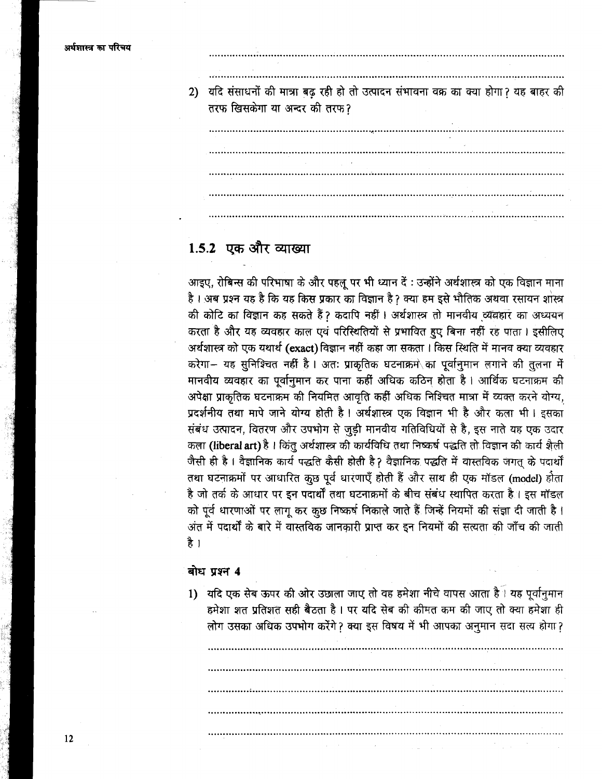यदि संसाधनों की मात्रा बढ रही हो तो उत्पादन संभावना वक्र का क्या होगा? यह बाहर की  $2)$ तरफ खिसकेगा या अन्दर की तरफ?

# 1.5.2 एक और व्याख्या

आइए, रोबिन्स की परिभाषा के और पहलू पर भी ध्यान दें : उन्होंने अर्थशास्त्र को एक विज्ञान माना है। अब प्रश्न यह है कि यह किस प्रकार का विज्ञान है? क्या हम इसे भौतिक अथवा रसायन शास्त्र की कोटि का विज्ञान कह सकते हैं ? कदापि नहीं । अर्थशास्त्र तो मानवीय व्यवहार का अध्ययन करता है और यह व्यवहार काल एवं परिस्थितियों से प्रभावित हुए बिना नहीं रह पाता । इसीलिए अर्थशास्त्र को एक यथार्थ (exact) विज्ञान नहीं कहा जा सकता। किस स्थिति में मानव क्या व्यवहार करेगा-- यह सुनिश्चित नहीं है। अतः प्राकृतिक घटनाक्रमे का पूर्वानुमान लगाने की तुलना में मानवीय व्यवहार का पूर्वानुमान कर पाना कहीं अधिक कठिन होता है। आर्थिक घटनाक्रम की अपेक्षा प्राकृतिक घटनाक्रम की नियमित आवृति कहीं अधिक निश्चित मात्रा में व्यक्त करने योग्य, प्रदर्शनीय तथा मापे जाने योग्य होती है। अर्थशास्त्र एक विज्ञान भी है और कला भी। इसका संबंध उत्पादन, वितरण और उपभोग से जुड़ी मानवीय गतिविधियों से है, इस नाते यह एक उदार कला (liberal art) है। किंतु अर्थशास्त्र की कार्यविधि तथा निष्कर्ष पद्धति तो विज्ञान की कार्य शैली जैसी ही है। वैज्ञानिक कार्य पद्धति कैसी होती है? वैज्ञानिक पद्धति में वास्तविक जगत के पदार्थों तथा घटनाक्रमों पर आधारित कुछ पूर्व धारणाएँ होती हैं और साथ ही एक मॉडल (model) होता है जो तर्क के आधार पर इन पदार्थों तथा घटनाक्रमों के बीच संबंध स्थापित करता है। इस मॉडल को पूर्व धारणाओं पर लागू कर कुछ निष्कर्ष निकाले जाते हैं जिन्हें नियमों की संज्ञा दी जाती है। अंत में पदार्थों के बारे में वास्तविक जानकारी प्राप्त कर इन नियमों की सत्यता की जाँच की जाती है ।

## बोध प्रश्न 4

1) यदि एक सेब ऊपर की ओर उछाला जाए तो वह हमेशा नीचे वापस आता है। यह पूर्वानुमान हमेशा शत प्रतिशत सही बैठता है। पर यदि सेब की कीमत कम की जाए तो क्या हमेशा ही लोग उसका अधिक उपभोग करेंगे? क्या इस विषय में भी आपका अनुमान सदा सत्य होगा?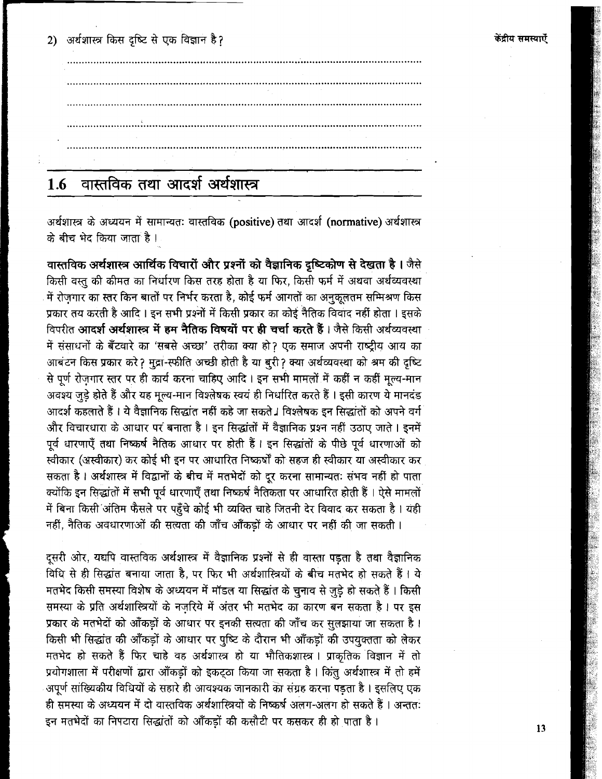केंद्रीय समस्याएँ

2) अर्थशास्त्र किस दृष्टि से एक विज्ञान है?



### वास्तविक तथा आदर्श अर्थशास्त्र  $1.6$

अर्थशास्त्र के अध्ययन में सामान्यतः वास्तविक (positive) तथा आदर्श (normative) अर्थशास्त्र के बीच भेद किया जाता है।

वास्तविक अर्थशास्त्र आर्थिक विचारों और प्रश्नों को वैज्ञानिक दृष्टिकोण से देखता है। जैसे किसी वस्तु की कीमत का निर्धारण किस तरह होता है या फिर, किसी फर्म में अथवा अर्थव्यवस्था में रोजगार का स्तर किन बातों पर निर्भर करता है, कोई फर्म आगतों का अनुकूलतम सम्मिश्रण किस प्रकार तय करती है आदि । इन सभी प्रश्नों में किसी प्रकार का कोई नैतिक विवाद नहीं होता । इसके विपरीत **आदर्श अर्थशास्त्र में हम नैतिक विषयों पर ही चर्चा करते हैं** । जैसे किसी अर्थव्यवस्था में संसाधनों के बँटवारे का 'सबसे अच्छा' तरीका क्या हो? एक समाज अपनी राष्ट्रीय आय का आबंटन किस प्रकार करे? मुद्रा-स्फीति अच्छी होती है या बुरी? क्या अर्थव्यवस्था को श्रम की दृष्टि से पूर्ण रोज़गार स्तर पर ही कार्य करना चाहिए आदि। इन सभी मामलों में कहीं न कहीं मूल्य-मान अवश्य जुड़े होते हैं और यह मूल्य-मान विश्लेषक स्वयं ही निर्धारित करते हैं । इसी कारण ये मानदंड आदर्श कहलाते हैं । ये वैज्ञानिक सिद्धांत नहीं कहे जा सकते । विश्लेषक इन सिद्धांतों को अपने वर्ग और विचारधारा के आधार पर बनाता है। इन सिद्धांतों में वैज्ञानिक प्रश्न नहीं उठाए जाते। इनमें पूर्व धारणाएँ तथा निष्कर्ष नैतिक आधार पर होती हैं। इन सिद्धांतों के पीछे पूर्व धारणाओं को स्वीकार (अस्वीकार) कर कोई भी इन पर आधारित निष्कर्षों को सहज ही स्वीकार या अस्वीकार कर सकता है। अर्थशास्त्र में विद्वानों के बीच में मतभेदों को दूर करना सामान्यतः संभव नहीं हो पाता क्योंकि इन सिद्धांतों में सभी पूर्व धारणाएँ तथा निष्कर्ष नैतिकता पर आधारित होती हैं । ऐसे मामलों में बिना किसी अंतिम फैसले पर पहुँचे कोई भी व्यक्ति चाहे जितनी देर विवाद कर सकता है। यही नहीं, नैतिक अवधारणाओं की सत्यता की जाँच आँकड़ों के आधार पर नहीं की जा सकती।

दूसरी ओर, यद्यपि वास्तविक अर्थशास्त्र में वैज्ञानिक प्रश्नों से ही वास्ता पड़ता है तथा वैज्ञानिक विधि से ही सिद्धांत बनाया जाता है. पर फिर भी अर्थशास्त्रियों के बीच मतभेद हो सकते हैं। ये मतभेद किसी समस्या विशेष के अध्ययन में मॉडल या सिद्धांत के चुनाव से जुड़े हो सकते हैं। किसी समस्या के प्रति अर्थशास्त्रियों के नजरिये में अंतर भी मतभेद का कारण बन सकता है। पर इस प्रकार के मतभेदों को आँकड़ों के आधार पर इनकी सत्यता की जाँच कर सुलझाया जा सकता है। किसी भी सिद्धांत की आँकड़ों के आधार पर पुष्टि के दौरान भी आँकड़ों की उपयुक्तता को लेकर मतभेद हो सकते हैं फिर चाहे वह अर्थशास्त्र हो या भौतिकशास्त्र। प्राकृतिक विज्ञान में तो प्रयोगशाला में परीक्षणों द्वारा आँकड़ों को इकट्ठा किया जा सकता है। किंतु अर्थशास्त्र में तो हमें अपूर्ण सांख्यिकीय विधियों के सहारे ही आवश्यक जानकारी का संग्रह करना पड़ता है। इसलिए एक ही समस्या के अध्ययन में दो वास्तविक अर्थशास्त्रियों के निष्कर्ष अलग-अलग हो सकते हैं। अन्ततः इन मतभेदों का निपटारा सिद्धांतों को आँकड़ों की कसौटी पर कसकर ही हो पाता है।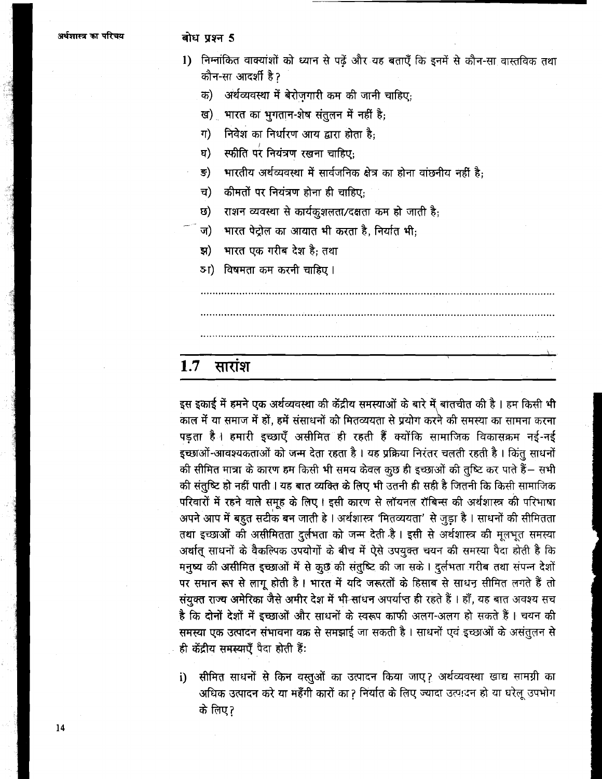## बोध प्रश्न 5

- 1) निम्नांकित वाक्यांशों को ध्यान से पढ़ें और यह बताएँ कि इनमें से कौन-सा वास्तविक तथा कौन-सा आदर्शी है ?
	- अर्थव्यवस्था में बेरोजगारी कम की जानी चाहिए: क)
	- ख) भारत का भुगतान-शेष संतुलन में नहीं है;
	- निवेश का निर्धारण आय द्वारा होता है:  $\eta$ )
	- स्फीति परं नियंत्रण रखना चाहिए: ਬ)
	- भारतीय अर्थव्यवस्था में सार्वजनिक क्षेत्र का होना वांछनीय नहीं है:  $\overline{s})$
	- च) कीमतों पर नियंत्रण होना ही चाहिए:
	- राशन व्यवस्था से कार्यकुशलता/दक्षता कम हो जाती है; ত)
	- भारत पेट्रोल का आयात भी करता है. निर्यात भी:  $\overline{u}$ )
	- भारत एक गरीब देश है: तथा হা)
	- 51) विषमता कम करनी चाहिए।

### $1.7$ सारांश

इस इकाई में हमने एक अर्थव्यवस्था की केंद्रीय समस्याओं के बारे में बातचीत की है । हम किसी भी काल में या समाज में हों, हमें संसाधनों को मितव्ययता से प्रयोग करने की समस्या का सामना करना पड़ता है। हमारी इच्छाएँ असीमित ही रहती हैं क्योंकि सामाजिक विकासक्रम नई-नई इच्छाओं-आवश्यकताओं को जन्म देता रहता है। यह प्रक्रिया निरंतर चलती रहती है। किंतु साधनों की सीमित मात्रा के कारण हम किसी भी समय केवल कुछ ही इच्छाओं की तुष्टि कर पाते हैं– सभी की संतुष्टि हो नहीं पाती। यह बात व्यक्ति के लिए भी उतनी ही सही है जितनी कि किसी सामाजिक परिवारों में रहने वाले समूह के लिए। इसी कारण से लॉयनल रॉबिन्स की अर्थशास्त्र की परिभाषा अपने आप में बहुत सटीक बन जाती हे। अर्थशास्त्र 'मितव्ययता' से जुड़ा है। साधनों की सीमितता तथा इच्छाओं की असीमितता दुर्लभता को जन्म देती है। इसी से अर्थशास्त्र की मूलभूत समस्या अर्थात् साधनों के वैकल्पिक उपयोगों के बीच में ऐसे उपयुक्त चयन की समस्या पैदा होती है कि मनुष्य की असीमित इच्छाओं में से कुछ की संतुष्टि की जा सके। दुर्लभता गरीब तथा संपन्न देशों पर समान रूप से लागू होती है। भारत में यदि जरूरतों के हिसाब से साधन सीमित लगते हैं तो संयुक्त राज्य अमेरिका जैसे अमीर देश में भी साधन अपर्याप्त ही रहते हैं । हाँ, यह बात अवश्य सच है कि दोनों देशों में इच्छाओं और साधनों के स्वरूप काफी अलग-अलग हो सकते हैं। चयन की समस्या एक उत्पादन संभावना वक्र से समझाई जा सकती है। साधनों एवं इच्छाओं के असंतुलन से ही केंद्रीय समस्याएँ पैदा होती हैं:

सीमित साधनों से किन वस्तुओं का उत्पादन किया जाए? अर्थव्यवस्था खाद्य सामग्री का  $\mathbf{i}$ अधिक उत्पादन करे या महँगी कारों का? निर्यात के लिए ज्यादा उत्पादन हो या घरेलू उपभोग के लिए?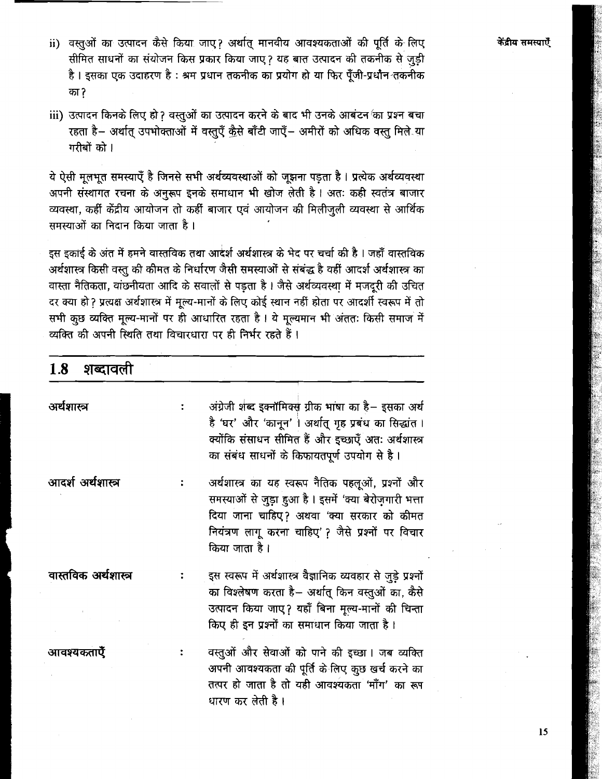- ii) वस्तुओं का उत्पादन कैसे किया जाए? अर्थात् मानवीय आवश्यकताओं की पूर्ति के लिए सीमित साधनों का संयोजन किस प्रकार किया जाए? यह बात उत्पादन की तकनीक से जुड़ी है। इसका एक उदाहरण है: श्रम प्रधान तकनीक का प्रयोग हो या फिर पुँजी-प्रधान तकनीक का ?
- iii) उत्पादन किनके लिए हो ? वस्तुओं का उत्पादन करने के बाद भी उनके आबंटन का प्रश्न बचा रहता है- अर्थात् उपभोक्ताओं में वस्तुएँ क़ैसे बाँटी जाएँ- अमीरों को अधिक वस्तु मिले या गरीबों को ।

ये ऐसी मूलभूत समस्याएँ है जिनसे सभी अर्थव्यवस्थाओं को जुझना पड़ता है। प्रत्येक अर्थव्यवस्था अपनी संस्थागत रचना के अनुरूप इनके समाधान भी खोज लेती है। अतः कही स्वतंत्र बाजार व्यवस्था, कहीं केंद्रीय आयोजन तो कहीं बाजार एवं आयोजन की मिलीजुली व्यवस्था से आर्थिक समस्याओं का निदान किया जाता है।

इस इकाई के अंत में हमने वास्तविक तथा आदर्श अर्थशास्त्र के भेद पर चर्चा की है। जहाँ वास्तविक अर्थशास्त्र किसी वस्तु की कीमत के निर्धारण जैसी समस्याओं से संबंद्ध है वहीं आदर्श अर्थशास्त्र का वास्ता नैतिकता, वांछनीयता आदि के सवालों से पड़ता है। जैसे अर्थव्यवस्था में मजदूरी की उचित दर क्या हो? प्रत्यक्ष अर्थशास्त्र में मूल्य-मानों के लिए कोई स्थान नहीं होता पर आदर्शी स्वरूप में तो सभी कुछ व्यक्ति मूल्य-मानों पर ही आधारित रहता है। ये मूल्यमान भी अंततः किसी समाज में व्यक्ति की अपनी स्थिति तथा विचारधारा पर ही निर्भर रहते हैं।

| $1.8$ शब्दावली       |                                                                                                                                                                                                                                   |  |  |  |
|----------------------|-----------------------------------------------------------------------------------------------------------------------------------------------------------------------------------------------------------------------------------|--|--|--|
| अर्थशास्त्र          | अंग्रेजी शब्द इक्नॉमिक्स ग्रीक भाषा का है– इसका अर्थ<br>है 'घर' और 'कानून' । अर्थात् गृह प्रबंध का सिद्धांत ।<br>क्योंकि संसाधन सीमित हैं और इच्छाएँ अतः अर्थशास्त्र<br>का संबंध साधनों के किफायतपूर्ण उपयोग से है।               |  |  |  |
| आदर्श अर्थशास्त्र    | अर्थशास्त्र का यह स्वरूप नैतिक पहलूओं, प्रश्नों और<br>समस्याओं से जुड़ा हुआ है । इसमें 'क्या बेरोज़गारी भत्ता<br>दिया जाना चाहिए? अथवा 'क्या सरकार को कीमत<br>नियंत्रण लागू करना चाहिए'? जैसे प्रश्नों पर विचार<br>किया जाता है । |  |  |  |
| वास्तविक अर्थशास्त्र | इस स्वरूप में अर्थशास्त्र वैज्ञानिक व्यवहार से जुड़े प्रश्नों<br>का विश्लेषण करता है– अर्थात् किन वस्तुओं का, कैसे<br>उत्पादन किया जाए? यहाँ बिना मूल्य-मानों की चिन्ता<br>किए ही इन प्रश्नों का समाधान किया जाता है।             |  |  |  |
| आवश्यकताऐँ           | वस्तुओं और सेवाओं को पाने की इच्छा। जब व्यक्ति<br>अपनी आवश्यकता की पूर्ति के लिए कुछ खर्च करने का<br>तत्पर हो जाता है तो यही आवश्यकता 'माँग' का रूप<br>धारण कर लेती है ।                                                          |  |  |  |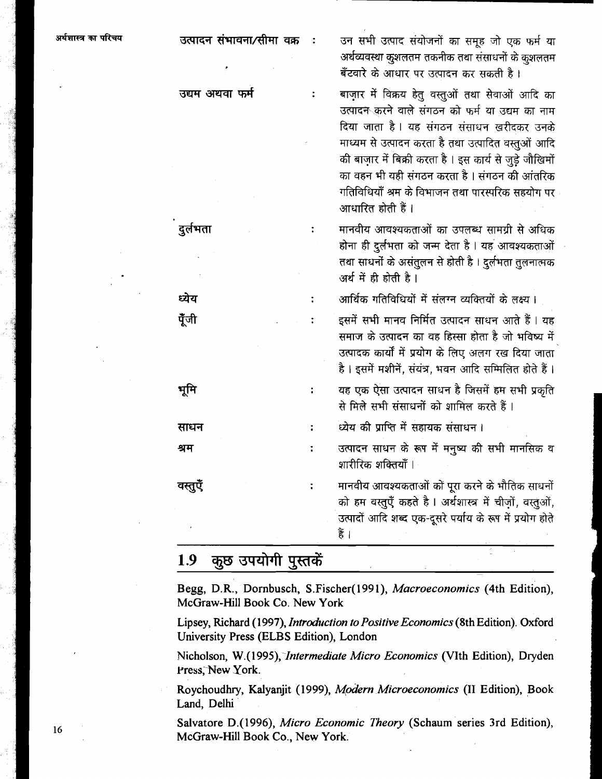| परिचय | उत्पादन संभावना/सीमा वक्र | उन सभी उत्पाद संयोजनों का समूह जो एक फर्म या<br>अर्थव्यवस्था कुशलतम तकनीक तथा संसाधनों के कुशलतम<br>बँटवारे के आधार पर उत्पादन कर सकती है ।                                                                                                                                                                                                                                                  |
|-------|---------------------------|----------------------------------------------------------------------------------------------------------------------------------------------------------------------------------------------------------------------------------------------------------------------------------------------------------------------------------------------------------------------------------------------|
|       | उद्यम अथवा फर्म           | बाज़ार में विक्रय हेतु वस्तुओं तथा सेवाओं आदि का<br>उत्पादन करने वाले संगठन को फर्म या उद्यम का नाम<br>दिया जाता है। यह संगठन संसाधन खरीदकर उनके<br>माध्यम से उत्पादन करता है तथा उत्पादित वस्तुओं आदि<br>की बाज़ार में बिक्री करता है । इस कार्य से जुड़े जौखिमों<br>का वहन भी यही संगठन करता है । संगठन की आंतरिक<br>गतिविधियाँ श्रम के विभाजन तथा पारस्परिक सहयोग पर<br>आधारित होती हैं । |
|       | दुर्लभता                  | मानवीय आवश्यकताओं का उपलब्ध सामग्री से अधिक<br>होना ही दुर्लभता को जन्म देता है । यह आवश्यकताओं<br>तथा साधनों के असंतुलन से होती है । दुर्लभता तुलनात्मक<br>अर्थ में ही होती है।                                                                                                                                                                                                             |
|       | ध्येय                     | आर्थिक गतिविधियों में संलग्न व्यक्तियों के लक्ष्य ।                                                                                                                                                                                                                                                                                                                                          |
|       | पूँजी                     | इसमें सभी मानव निर्मित उत्पादन साधन आते हैं । यह<br>समाज के उत्पादन का वह हिस्सा होता है जो भविष्य में<br>उत्पादक कार्यों में प्रयोग के लिए अलग रख दिया जाता<br>है। इसमें मशीनें, संयंत्र, भवन आदि सम्मिलित होते हैं।                                                                                                                                                                        |
|       | भूमि                      | यह एक ऐसा उत्पादन साधन है जिसमें हम सभी प्रकृति<br>से मिले सभी संसाधनों को शामिल करते हैं।                                                                                                                                                                                                                                                                                                   |
|       | साधन                      | ध्येय की प्राप्ति में सहायक संसाधन।                                                                                                                                                                                                                                                                                                                                                          |
|       | श्रम                      | उत्पादन साधन के रूप में मनुष्य की सभी मानसिक व<br>शारीरिक शक्तियाँ ।                                                                                                                                                                                                                                                                                                                         |
|       | वस्तुए                    | मानवीय आवश्यकताओं को पूरा करने के भौतिक साधनों<br>को हम वस्तुएँ कहते है। अर्थशास्त्र में चीज़ों, वस्तुओं,<br>उत्पादों आदि शब्द एक-दूसरे पर्याय के रूप में प्रयोग होते<br>हैं ।                                                                                                                                                                                                               |
|       |                           |                                                                                                                                                                                                                                                                                                                                                                                              |

#### 1.9 कुछ उपयोगी पुस्तकें

Begg, D.R., Dornbusch, S.Fischer(l991), Macroeconomics (4th Edition), McGraw-Hill Book Co. New York

Lipsey, Richard (1997), Introduction to Positive Economics (8th Edition). Oxford University Press (ELBS Edition), London

Nicholson, W.(1995), Intermediate Micro Economics (VIth Edition), Dryden Press, New York.

Roychoudhry, Kalyanjit (1999), Modern Microeconomics (I1 Edition), Book Land, Delhi

Salvatore D.(1996), Micro Economic Theory (Schaum series 3rd Edition), McGraw-Hill Book Co., New York.